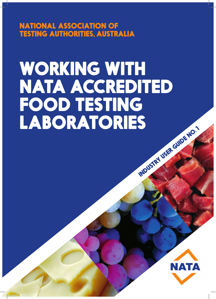NATIONAL ASSOCIATION OF TESTING AUTHORITIES, AUSTRALIA

# WORKING WITH NATA ACCREDITED FOOD TESTING<br>LABORATORIES INDUSTRY USER GUIDE NO.

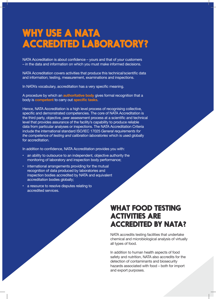# WHY USE A NATA ACCREDITED LABORATORY?

NATA Accreditation is about confidence – yours and that of your customers – in the data and information on which you must make informed decisions.

NATA Accreditation covers activities that produce this technical/scientific data and information; testing, measurement, examinations and inspections.

In NATA's vocabulary, accreditation has a very specific meaning.

A procedure by which an **authoritative body** gives formal recognition that a body is **competent** to carry out **specific tasks**.

Hence, NATA Accreditation is a high level process of recognising collective, specific and demonstrated competencies. The core of NATA Accreditation is the third party, objective, peer assessment process at a scientific and technical level that provides assurance of the facility's capability to produce reliable data from particular analyses or inspections. The NATA Accreditation Criteria include the international standard ISO/IEC 17025 *General requirements for the competence of testing and calibration laboratories* which is used globally for accreditation.

In addition to confidence, NATA Accreditation provides you with:

- an ability to outsource to an independent, objective authority the monitoring of laboratory and inspection body performance;
- international arrangements providing for the mutual recognition of data produced by laboratories and inspection bodies accredited by NATA and equivalent accreditation bodies globally;
- a resource to resolve disputes relating to accredited services.

### WHAT FOOD TESTING ACTIVITIES ARE ACCREDITED BY NATA?

NATA accredits testing facilities that undertake chemical and microbiological analysis of virtually all types of food.

In addition to human health aspects of food safety and nutrition, NATA also accredits for the detection of contaminants and biosecurity hazards associated with food – both for import and export purposes.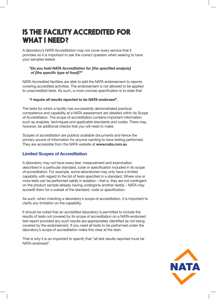# IS THE FACILITY ACCREDITED FOR WHAT I NEED?

A laboratory's NATA Accreditation may not cover every service that it provides so it is important to ask the correct question when seeking to have your samples tested.

#### *"Do you hold NATA Accreditation for [the specified analysis] of [the specific type of food]?"*

NATA Accredited facilities are able to add the NATA endorsement to reports covering accredited activities. The endorsement is not allowed to be applied to unaccredited tests. As such, a more concise specification is to state that

#### *"I require all results reported to be NATA-endorsed".*

The tests for which a facility has successfully demonstrated practical competence and capability at a NATA assessment are detailed within its Scope of Accreditation. The scope of accreditation contains important information such as analytes, techniques and applicable standards and codes. There may, however, be additional checks that you will need to make.

Scopes of accreditation are publicly available documents and hence the primary source of information for anyone wanting to have testing performed. They are accessible from the NATA website at **www.nata.com.au**

#### **Limited Scopes of Accreditation**

A laboratory may not have every test, measurement and examination described in a particular standard, code or specification included in its scope of accreditation. For example, some laboratories may only have a limited capability with regard to the list of tests specified in a standard. Where one or more tests can be performed validly in isolation – that is, they are not contingent on the product sample already having undergone another test(s) – NATA may accredit them for a subset of the standard, code or specification.

As such, when checking a laboratory's scope of accreditation, it is important to clarify any limitation on the capability.

It should be noted that an accredited laboratory is permitted to include the results of tests not covered by its scope of accreditation on a NATA-endorsed test report provided any such results are appropriately identified as not being covered by the endorsement. If you need all tests to be performed under the laboratory's scope of accreditation make this clear at the start.

That is why it is so important to specify that "all test results reported must be NATA-endorsed".

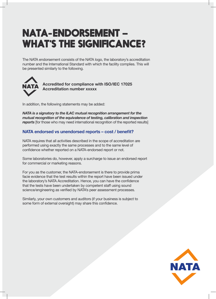# NATA-ENDORSEMENT – WHAT'S THE SIGNIFICANCE?

The NATA endorsement consists of the NATA logo, the laboratory's accreditation number and the International Standard with which the facility complies. This will be presented similarly to the following.



**Accredited for compliance with ISO/IEC 17025 Accreditation number xxxxx**

In addition, the following statements may be added:

*NATA is a signatory to the ILAC mutual recognition arrangement for the mutual recognition of the equivalence of testing, calibration and inspection*  **reports** [for those who may need international recognition of the reported results]

#### **NATA endorsed vs unendorsed reports – cost / benefit?**

NATA requires that all activities described in the scope of accreditation are performed using exactly the same processes and to the same level of confidence whether reported on a NATA-endorsed report or not.

Some laboratories do, however, apply a surcharge to issue an endorsed report for commercial or marketing reasons.

For you as the customer, the NATA-endorsement is there to provide prima facie evidence that the test results within the report have been issued under the laboratory's NATA Accreditation. Hence, you can have the confidence that the tests have been undertaken by competent staff using sound science/engineering as verified by NATA's peer assessment processes.

Similarly, your own customers and auditors (if your business is subject to some form of external oversight) may share this confidence.

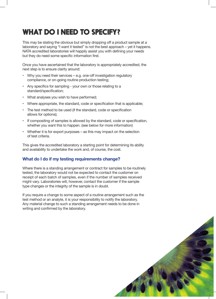# WHAT DO I NEED TO SPECIFY?

This may be stating the obvious but simply dropping off a product sample at a laboratory and saying "I want it tested" is not the best approach – yet it happens. NATA accredited laboratories will happily assist you with defining your needs but they do need some specific information first.

Once you have ascertained that the laboratory is appropriately accredited, the next step is to ensure clarity around:

- Why you need their services e.g. one-off investigation regulatory compliance, or on-going routine production testing;
- Any specifics for sampling your own or those relating to a standard/specification;
- What analyses you wish to have performed;
- Where appropriate, the standard, code or specification that is applicable;
- The test method to be used (if the standard, code or specification allows for options);
- If compositing of samples is allowed by the standard, code or specification, whether you want this to happen. (see below for more information)
- Whether it is for export purposes as this may impact on the selection of test criteria.

This gives the accredited laboratory a starting point for determining its ability and availability to undertake the work and, of course, the cost.

#### **What do I do if my testing requirements change?**

Where there is a standing arrangement or contract for samples to be routinely tested, the laboratory would not be expected to contact the customer on receipt of each batch of samples, even if the number of samples received might vary. Laboratories will, however, contact the customer if the sample type changes or the integrity of the sample is in doubt.

If you require a change to some aspect of a routine arrangement such as the test method or an analyte, it is your responsibility to notify the laboratory. Any material change to such a standing arrangement needs to be done in writing and confirmed by the laboratory.

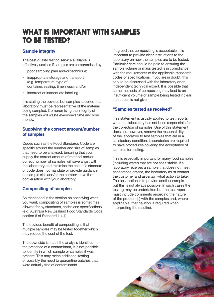## WHAT IS IMPORTANT WITH SAMPLES TO BE TESTED?

#### **Sample integrity**

The best quality testing service available is effectively useless if samples are compromised by:

- poor sampling plan and/or technique;
- inappropriate storage and transport (e.g. temperature, type of container, sealing, timeliness); and/or
- incorrect or inadequate labelling.

It is stating the obvious but samples supplied to a laboratory must be representative of the material being sampled. Compromising the integrity of the samples will waste everyone's time and your money.

#### **Supplying the correct amount/number of samples**

Codes such as the Food Standards Code are specific around the number and size of samples that need to be analysed. Ensuring that you supply the correct amount of material and/or correct number of samples will save angst with the laboratory and minimise the cost. If a standard or code does not mandate or provide guidance on sample size and/or the number, have the conversation with your laboratory.

#### **Compositing of samples**

As mentioned in the section on specifying what you want, compositing of samples is sometimes allowed for by standards, codes and specifications (e.g. Australia New Zealand Food Standards Code section 6 of Standard 1.4.1).

The obvious benefit of compositing is that multiple samples may be tested together which may reduce the cost of the test.

The downside is that if the analysis identifies the presence of a contaminant, it is not possible to identify in which sample or samples it was present. This may mean additional testing or possibly the need to quarantine batches that were actually free of contaminants.

If agreed that compositing is acceptable, it is important to provide clear instructions to the laboratory on how the samples are to be tested. Particular care should be paid to ensuring the sample volume or mass tested is in compliance with the requirements of the applicable standards, codes or specifications. If you are in doubt, this should be discussed with the laboratory or an independent technical expert. It is possible that some methods of compositing may lead to an insufficient volume of sample being tested if clear instruction is not given.

#### **"Samples tested as received"**

This statement is usually applied to test reports when the laboratory has not been responsible for the collection of samples. Use of this statement does not, however, remove the responsibility of the laboratory to test samples that are in a satisfactory condition. Laboratories are required to have procedures covering the acceptance of samples for testing.

This is especially important for many food samples (including water) that are not shelf stable. If a laboratory receives a sample that does not meet acceptance criteria, the laboratory must contact the customer and ascertain what action to take. The best option is to provide another sample but this is not always possible. In such cases the testing may be undertaken but the test report must include comments regarding the nature of the problem(s) with the samples and, where applicable, that caution is required when interpreting the result(s).

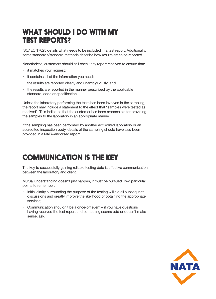# WHAT SHOULD I DO WITH MY TEST REPORTS?

ISO/IEC 17025 details what needs to be included in a test report. Additionally, some standards/standard methods describe how results are to be reported.

Nonetheless, customers should still check any report received to ensure that:

- it matches your request;
- it contains all of the information you need;
- the results are reported clearly and unambiguously; and
- the results are reported in the manner prescribed by the applicable standard, code or specification.

Unless the laboratory performing the tests has been involved in the sampling, the report may include a statement to the effect that "samples were tested as received". This indicates that the customer has been responsible for providing the samples to the laboratory in an appropriate manner.

If the sampling has been performed by another accredited laboratory or an accredited inspection body, details of the sampling should have also been provided in a NATA-endorsed report.

# COMMUNICATION IS THE KEY

The key to successfully gaining reliable testing data is effective communication between the laboratory and client.

Mutual understanding doesn't just happen, it must be pursued. Two particular points to remember:

- Initial clarity surrounding the purpose of the testing will aid all subsequent discussions and greatly improve the likelihood of obtaining the appropriate services;
- Communication shouldn't be a once-off event if you have questions having received the test report and something seems odd or doesn't make sense, ask.